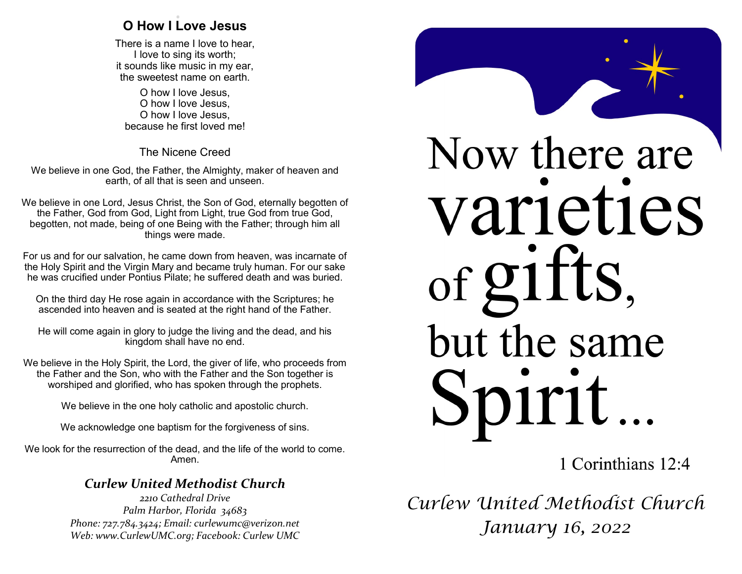## . **O How I Love Jesus**

There is a name I love to hear, I love to sing its worth; it sounds like music in my ear, the sweetest name on earth.

O how I love Jesus, O how I love Jesus, O how I love Jesus, because he first loved me!

The Nicene Creed

We believe in one God, the Father, the Almighty, maker of heaven and earth, of all that is seen and unseen.

We believe in one Lord, Jesus Christ, the Son of God, eternally begotten of the Father, God from God, Light from Light, true God from true God, begotten, not made, being of one Being with the Father; through him all things were made.

For us and for our salvation, he came down from heaven, was incarnate of the Holy Spirit and the Virgin Mary and became truly human. For our sake he was crucified under Pontius Pilate; he suffered death and was buried.

On the third day He rose again in accordance with the Scriptures; he ascended into heaven and is seated at the right hand of the Father.

He will come again in glory to judge the living and the dead, and his kingdom shall have no end.

We believe in the Holy Spirit, the Lord, the giver of life, who proceeds from the Father and the Son, who with the Father and the Son together is worshiped and glorified, who has spoken through the prophets.

We believe in the one holy catholic and apostolic church.

We acknowledge one baptism for the forgiveness of sins.

We look for the resurrection of the dead, and the life of the world to come. Amen.

## *Curlew United Methodist Church*

*2210 Cathedral Drive Palm Harbor, Florida 34683 Phone: 727.784.3424; Email: curlewumc@verizon.net Web: www.CurlewUMC.org; Facebook: Curlew UMC*



1 Corinthians 12:4

*Curlew United Methodist Church January 16, 2022*